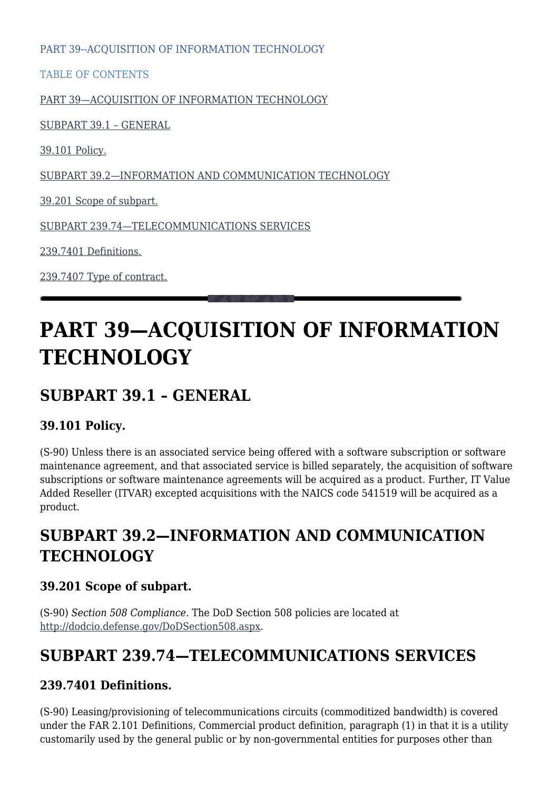PART 39--ACOUISITION OF INFORMATION TECHNOLOGY

TABLE OF CONTENTS

[PART 39—ACQUISITION OF INFORMATION TECHNOLOGY](#page--1-0)

[SUBPART 39.1 – GENERAL](#page--1-0)

[39.101 Policy.](#page--1-0)

[SUBPART 39.2—INFORMATION AND COMMUNICATION TECHNOLOGY](#page--1-0)

[39.201 Scope of subpart.](#page--1-0)

[SUBPART 239.74—TELECOMMUNICATIONS SERVICES](#page--1-0)

[239.7401 Definitions.](#page--1-0)

[239.7407 Type of contract.](#page--1-0)

# **PART 39—ACQUISITION OF INFORMATION TECHNOLOGY**

## **SUBPART 39.1 – GENERAL**

#### **39.101 Policy.**

(S-90) Unless there is an associated service being offered with a software subscription or software maintenance agreement, and that associated service is billed separately, the acquisition of software subscriptions or software maintenance agreements will be acquired as a product. Further, IT Value Added Reseller (ITVAR) excepted acquisitions with the NAICS code 541519 will be acquired as a product.

## **SUBPART 39.2—INFORMATION AND COMMUNICATION TECHNOLOGY**

#### **39.201 Scope of subpart.**

(S-90) *Section 508 Compliance.* The DoD Section 508 policies are located at <http://dodcio.defense.gov/DoDSection508.aspx>.

## **SUBPART 239.74—TELECOMMUNICATIONS SERVICES**

#### **239.7401 Definitions.**

(S-90) Leasing/provisioning of telecommunications circuits (commoditized bandwidth) is covered under the FAR 2.101 Definitions, Commercial product definition, paragraph (1) in that it is a utility customarily used by the general public or by non-governmental entities for purposes other than